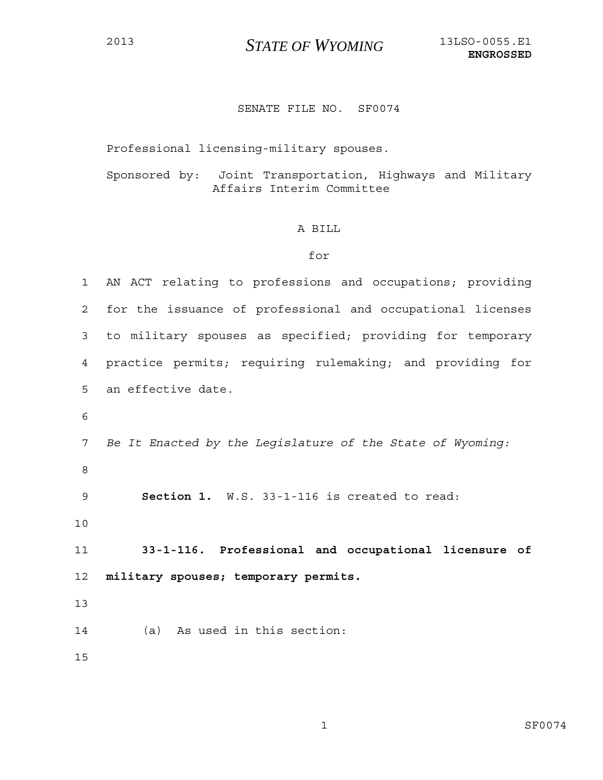## SENATE FILE NO. SF0074

Professional licensing-military spouses.

Sponsored by: Joint Transportation, Highways and Military Affairs Interim Committee

## A BILL

## for

| $\mathbf 1$ | AN ACT relating to professions and occupations; providing  |
|-------------|------------------------------------------------------------|
| 2           | for the issuance of professional and occupational licenses |
| 3           | to military spouses as specified; providing for temporary  |
| 4           | practice permits; requiring rulemaking; and providing for  |
| 5           | an effective date.                                         |
| 6           |                                                            |
| 7           | Be It Enacted by the Legislature of the State of Wyoming:  |
| 8           |                                                            |
| 9           | Section 1. W.S. 33-1-116 is created to read:               |
| 10          |                                                            |
| 11          | 33-1-116. Professional and occupational licensure of       |
| 12          | military spouses; temporary permits.                       |
| 13          |                                                            |
| 14          | As used in this section:<br>(a)                            |
| 15          |                                                            |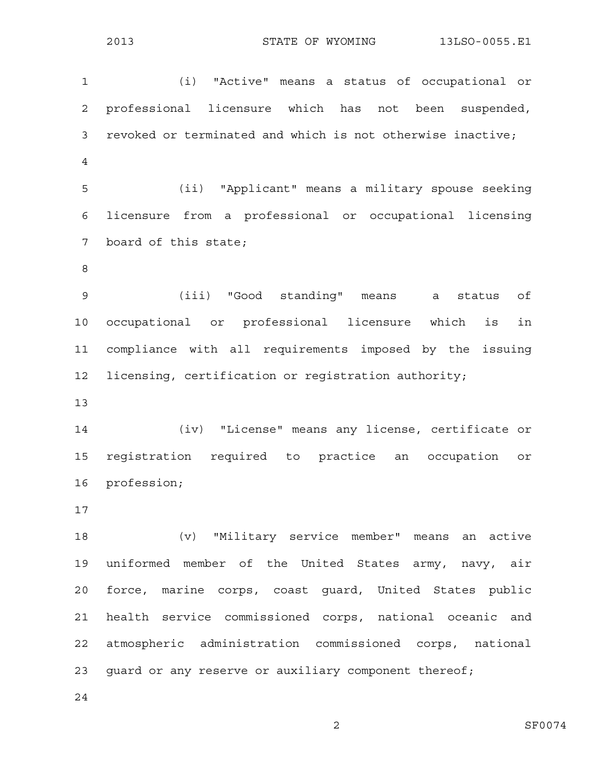1 (i) "Active" means a status of occupational or 2 professional licensure which has not been suspended, 3 revoked or terminated and which is not otherwise inactive; 4

5 (ii) "Applicant" means a military spouse seeking 6 licensure from a professional or occupational licensing 7 board of this state;

8

9 (iii) "Good standing" means a status of 10 occupational or professional licensure which is in 11 compliance with all requirements imposed by the issuing 12 licensing, certification or registration authority;

13

14 (iv) "License" means any license, certificate or 15 registration required to practice an occupation or 16 profession;

17

18 (v) "Military service member" means an active 19 uniformed member of the United States army, navy, air 20 force, marine corps, coast guard, United States public 21 health service commissioned corps, national oceanic and 22 atmospheric administration commissioned corps, national 23 guard or any reserve or auxiliary component thereof;

24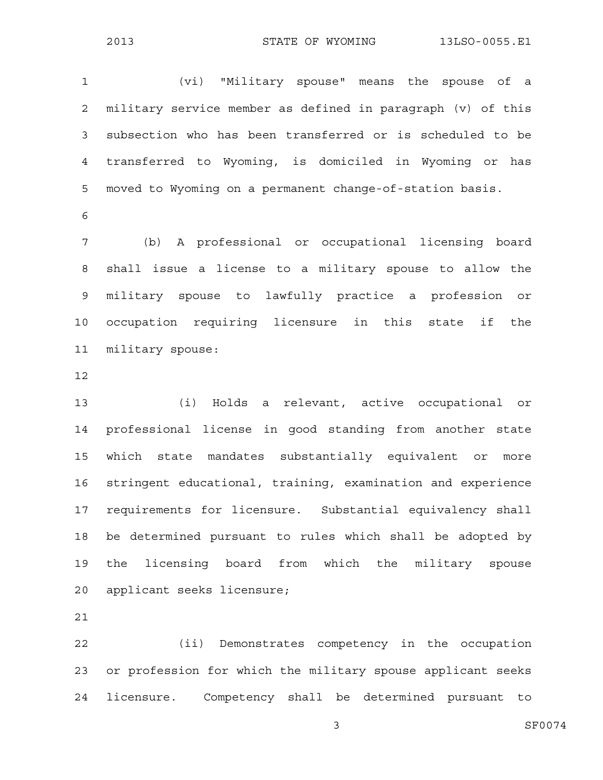1 (vi) "Military spouse" means the spouse of a 2 military service member as defined in paragraph (v) of this 3 subsection who has been transferred or is scheduled to be 4 transferred to Wyoming, is domiciled in Wyoming or has 5 moved to Wyoming on a permanent change-of-station basis. 6 7 (b) A professional or occupational licensing board 8 shall issue a license to a military spouse to allow the 9 military spouse to lawfully practice a profession or 10 occupation requiring licensure in this state if the

- 11 military spouse:
- 12

13 (i) Holds a relevant, active occupational or 14 professional license in good standing from another state 15 which state mandates substantially equivalent or more 16 stringent educational, training, examination and experience 17 requirements for licensure. Substantial equivalency shall 18 be determined pursuant to rules which shall be adopted by 19 the licensing board from which the military spouse 20 applicant seeks licensure;

21

22 (ii) Demonstrates competency in the occupation 23 or profession for which the military spouse applicant seeks 24 licensure. Competency shall be determined pursuant to

3 SF0074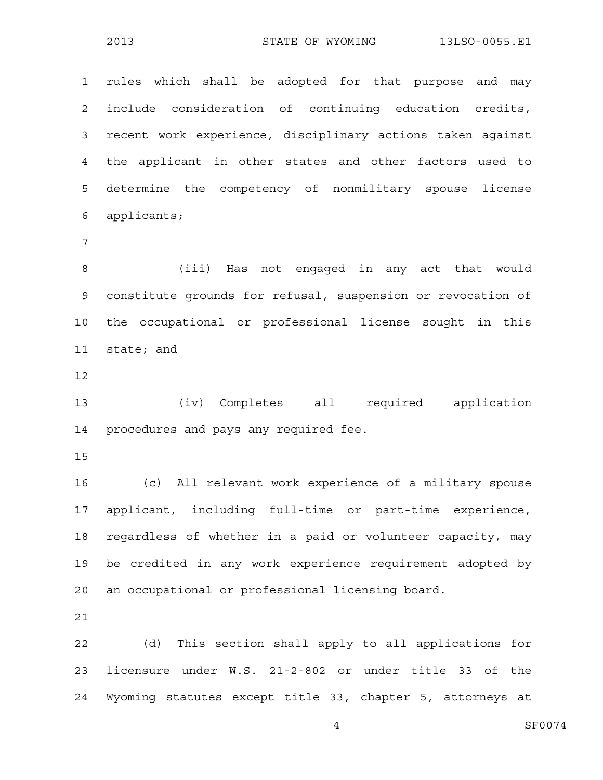1 rules which shall be adopted for that purpose and may 2 include consideration of continuing education credits, 3 recent work experience, disciplinary actions taken against 4 the applicant in other states and other factors used to 5 determine the competency of nonmilitary spouse license 6 applicants;

7

8 (iii) Has not engaged in any act that would 9 constitute grounds for refusal, suspension or revocation of 10 the occupational or professional license sought in this 11 state; and

12

13 (iv) Completes all required application 14 procedures and pays any required fee.

15

16 (c) All relevant work experience of a military spouse 17 applicant, including full-time or part-time experience, 18 regardless of whether in a paid or volunteer capacity, may 19 be credited in any work experience requirement adopted by 20 an occupational or professional licensing board.

21

22 (d) This section shall apply to all applications for 23 licensure under W.S. 21-2-802 or under title 33 of the 24 Wyoming statutes except title 33, chapter 5, attorneys at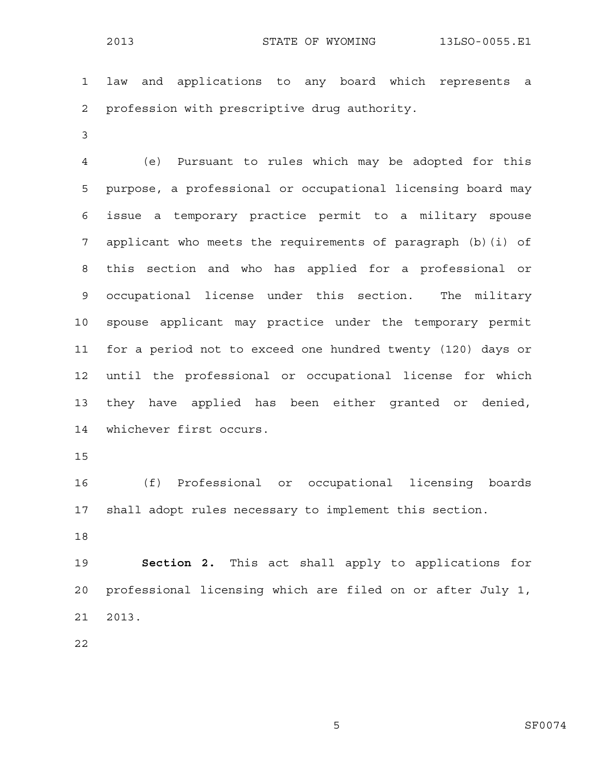1 law and applications to any board which represents a 2 profession with prescriptive drug authority.

3

4 (e) Pursuant to rules which may be adopted for this 5 purpose, a professional or occupational licensing board may 6 issue a temporary practice permit to a military spouse 7 applicant who meets the requirements of paragraph (b)(i) of 8 this section and who has applied for a professional or 9 occupational license under this section. The military 10 spouse applicant may practice under the temporary permit 11 for a period not to exceed one hundred twenty (120) days or 12 until the professional or occupational license for which 13 they have applied has been either granted or denied, 14 whichever first occurs.

15

16 (f) Professional or occupational licensing boards 17 shall adopt rules necessary to implement this section.

18

19 **Section 2.** This act shall apply to applications for 20 professional licensing which are filed on or after July 1, 21 2013.

22